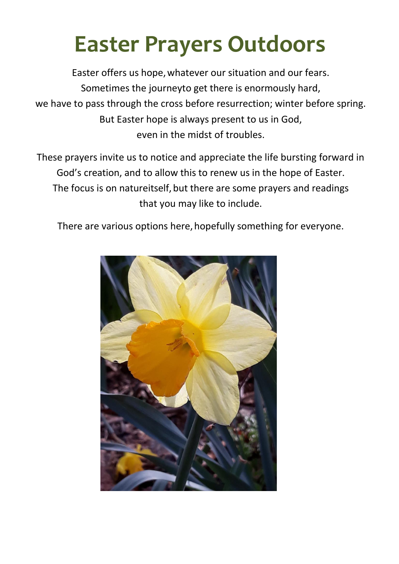# **Easter Prayers Outdoors**

Easter offers us hope,whatever our situation and our fears. Sometimes the journeyto get there is enormously hard, we have to pass through the cross before resurrection; winter before spring. But Easter hope is always present to us in God, even in the midst of troubles.

These prayers invite us to notice and appreciate the life bursting forward in God's creation, and to allow this to renew us in the hope of Easter. The focus is on natureitself, but there are some prayers and readings that you may like to include.

There are various options here, hopefully something for everyone.

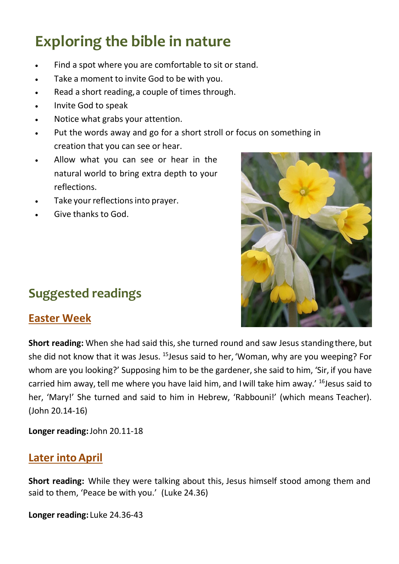# **Exploring the bible in nature**

- Find a spot where you are comfortable to sit or stand.
- Take a moment to invite God to be with you.
- Read a short reading, a couple of times through.
- Invite God to speak
- Notice what grabs your attention.
- Put the words away and go for a short stroll or focus on something in creation that you can see or hear.
- Allow what you can see or hear in the natural world to bring extra depth to your reflections.
- Take your reflections into prayer.
- Give thanks to God.



### **Easter Week**

**Short reading:** When she had said this, she turned round and saw Jesus standing there, but she did not know that it was Jesus.  $15$  Jesus said to her, 'Woman, why are you weeping? For whom are you looking?' Supposing him to be the gardener, she said to him, 'Sir, if you have carried him away, tell me where you have laid him, and I will take him away.' <sup>16</sup>Jesus said to her, 'Mary!' She turned and said to him in Hebrew, 'Rabbouni!' (which means Teacher). (John 20.14-16)

**Longer reading:**John 20.11-18

### **Later into April**

**Short reading:** While they were talking about this, Jesus himself stood among them and said to them, 'Peace be with you.' (Luke 24.36)

**Longer reading:** Luke 24.36-43

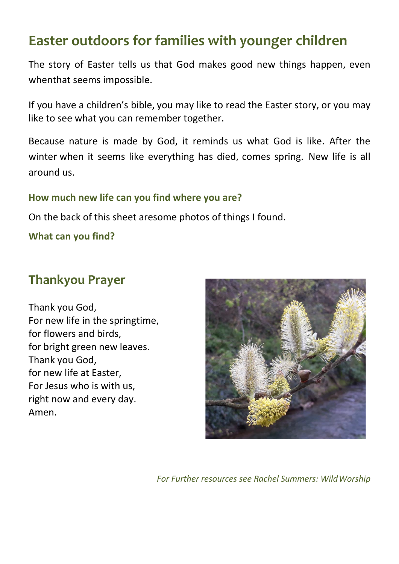### **Easter outdoors for families with younger children**

The story of Easter tells us that God makes good new things happen, even whenthat seems impossible.

If you have a children's bible, you may like to read the Easter story, or you may like to see what you can remember together.

Because nature is made by God, it reminds us what God is like. After the winter when it seems like everything has died, comes spring. New life is all around us.

#### **How much new life can you find where you are?**

On the back of this sheet aresome photos of things I found.

**What can you find?**

### **Thankyou Prayer**

Thank you God, For new life in the springtime, for flowers and birds, for bright green new leaves. Thank you God, for new life at Easter, For Jesus who is with us, right now and every day. Amen.



*For Further resources see Rachel Summers: WildWorship*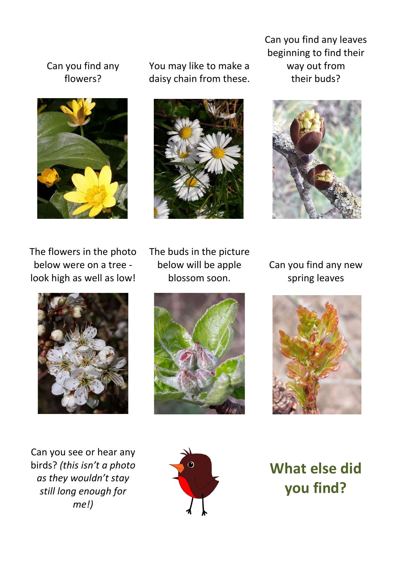#### Can you find any flowers?



You may like to make a daisy chain from these.



Can you find any leaves beginning to find their way out from their buds?



The flowers in the photo below were on a tree look high as well as low!



Can you see or hear any birds? *(this isn't a photo as they wouldn't stay still long enough for me!)*

The buds in the picture below will be apple blossom soon.



Can you find any new spring leaves





**What else did you find?**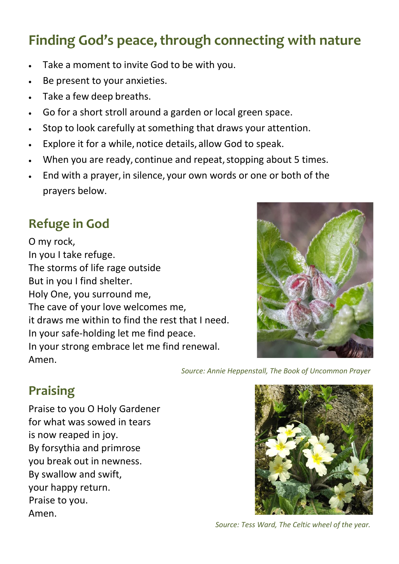# **Finding God's peace, through connecting with nature**

- Take a moment to invite God to be with you.
- Be present to your anxieties.
- Take a few deep breaths.
- Go for a short stroll around a garden or local green space.
- Stop to look carefully at something that draws your attention.
- Explore it for a while, notice details, allow God to speak.
- When you are ready, continue and repeat, stopping about 5 times.
- End with a prayer, in silence, your own words or one or both of the prayers below.

### **Refuge in God**

O my rock, In you I take refuge. The storms of life rage outside But in you I find shelter. Holy One, you surround me, The cave of your love welcomes me, it draws me within to find the rest that I need. In your safe-holding let me find peace. In your strong embrace let me find renewal. Amen.



*Source: Annie Heppenstall, The Book of Uncommon Prayer*

## **Praising**

Praise to you O Holy Gardener for what was sowed in tears is now reaped in joy. By forsythia and primrose you break out in newness. By swallow and swift, your happy return. Praise to you. Amen.



*Source: Tess Ward, The Celtic wheel of the year.*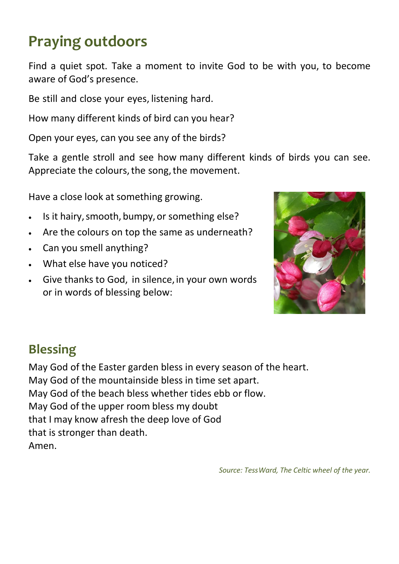# **Praying outdoors**

Find a quiet spot. Take a moment to invite God to be with you, to become aware of God's presence.

Be still and close your eyes, listening hard.

How many different kinds of bird can you hear?

Open your eyes, can you see any of the birds?

Take a gentle stroll and see how many different kinds of birds you can see. Appreciate the colours, the song, the movement.

Have a close look at something growing.

- Is it hairy, smooth, bumpy, or something else?
- Are the colours on top the same as underneath?
- Can you smell anything?
- What else have you noticed?
- Give thanks to God, in silence, in your own words or in words of blessing below:



### **Blessing**

May God of the Easter garden bless in every season of the heart. May God of the mountainside bless in time set apart. May God of the beach bless whether tides ebb or flow. May God of the upper room bless my doubt that I may know afresh the deep love of God that is stronger than death. Amen.

*Source: TessWard, The Celtic wheel of the year.*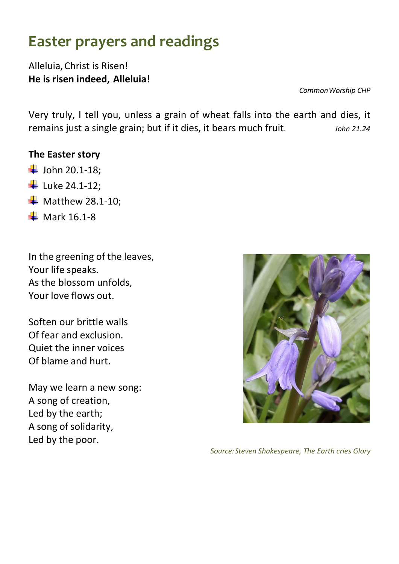# **Easter prayers and readings**

#### Alleluia,Christ is Risen! **He is risen indeed, Alleluia!**

*CommonWorship CHP*

Very truly, I tell you, unless a grain of wheat falls into the earth and dies, it remains just a single grain; but if it dies, it bears much fruit. *John 21.24*

#### **The Easter story**

- $\downarrow$  John 20.1-18;
- **Luke 24.1-12;**
- $\blacksquare$  Matthew 28.1-10;
- $\overline{\phantom{1}}$  Mark 16.1-8

In the greening of the leaves, Your life speaks. As the blossom unfolds, Your love flows out.

Soften our brittle walls Of fear and exclusion. Quiet the inner voices Of blame and hurt.

May we learn a new song: A song of creation, Led by the earth; A song of solidarity, Led by the poor.



*Source:Steven Shakespeare, The Earth cries Glory*